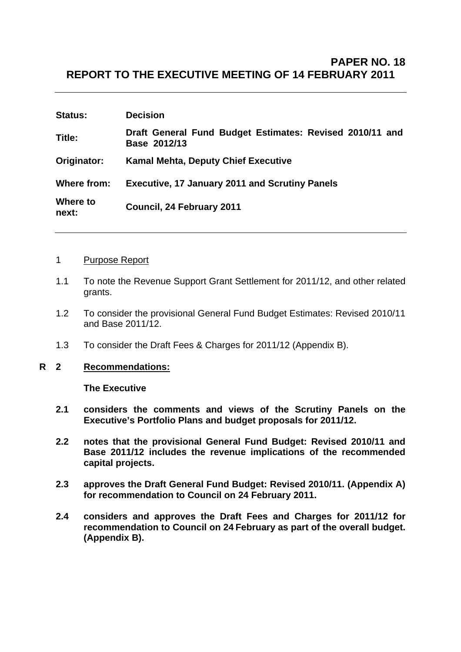# **PAPER NO. 18 REPORT TO THE EXECUTIVE MEETING OF 14 FEBRUARY 2011**

| <b>Status:</b>    | <b>Decision</b>                                                          |
|-------------------|--------------------------------------------------------------------------|
| Title:            | Draft General Fund Budget Estimates: Revised 2010/11 and<br>Base 2012/13 |
| Originator:       | <b>Kamal Mehta, Deputy Chief Executive</b>                               |
| Where from:       | <b>Executive, 17 January 2011 and Scrutiny Panels</b>                    |
| Where to<br>next: | Council, 24 February 2011                                                |

#### 1 Purpose Report

- 1.1 To note the Revenue Support Grant Settlement for 2011/12, and other related grants.
- 1.2 To consider the provisional General Fund Budget Estimates: Revised 2010/11 and Base 2011/12.
- 1.3 To consider the Draft Fees & Charges for 2011/12 (Appendix B).

### **R 2 Recommendations:**

 **The Executive** 

- **2.1 considers the comments and views of the Scrutiny Panels on the Executive's Portfolio Plans and budget proposals for 2011/12.**
- **2.2 notes that the provisional General Fund Budget: Revised 2010/11 and Base 2011/12 includes the revenue implications of the recommended capital projects.**
- **2.3 approves the Draft General Fund Budget: Revised 2010/11. (Appendix A) for recommendation to Council on 24 February 2011.**
- **2.4 considers and approves the Draft Fees and Charges for 2011/12 for recommendation to Council on 24 February as part of the overall budget. (Appendix B).**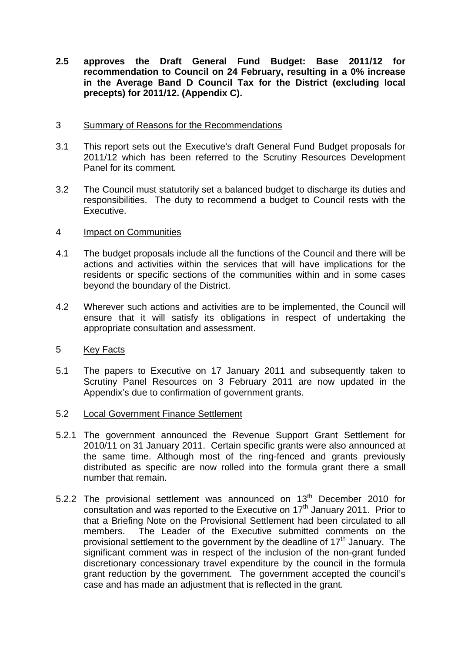**2.5 approves the Draft General Fund Budget: Base 2011/12 for recommendation to Council on 24 February, resulting in a 0% increase in the Average Band D Council Tax for the District (excluding local precepts) for 2011/12. (Appendix C).** 

### 3 Summary of Reasons for the Recommendations

- 3.1 This report sets out the Executive's draft General Fund Budget proposals for 2011/12 which has been referred to the Scrutiny Resources Development Panel for its comment.
- 3.2 The Council must statutorily set a balanced budget to discharge its duties and responsibilities. The duty to recommend a budget to Council rests with the Executive.

### 4 Impact on Communities

- 4.1 The budget proposals include all the functions of the Council and there will be actions and activities within the services that will have implications for the residents or specific sections of the communities within and in some cases beyond the boundary of the District.
- 4.2 Wherever such actions and activities are to be implemented, the Council will ensure that it will satisfy its obligations in respect of undertaking the appropriate consultation and assessment.
- 5 Key Facts
- 5.1 The papers to Executive on 17 January 2011 and subsequently taken to Scrutiny Panel Resources on 3 February 2011 are now updated in the Appendix's due to confirmation of government grants.
- 5.2 Local Government Finance Settlement
- 5.2.1 The government announced the Revenue Support Grant Settlement for 2010/11 on 31 January 2011. Certain specific grants were also announced at the same time. Although most of the ring-fenced and grants previously distributed as specific are now rolled into the formula grant there a small number that remain.
- 5.2.2 The provisional settlement was announced on  $13<sup>th</sup>$  December 2010 for consultation and was reported to the Executive on  $17<sup>th</sup>$  January 2011. Prior to that a Briefing Note on the Provisional Settlement had been circulated to all members. The Leader of the Executive submitted comments on the provisional settlement to the government by the deadline of  $17<sup>th</sup>$  January. The significant comment was in respect of the inclusion of the non-grant funded discretionary concessionary travel expenditure by the council in the formula grant reduction by the government. The government accepted the council's case and has made an adjustment that is reflected in the grant.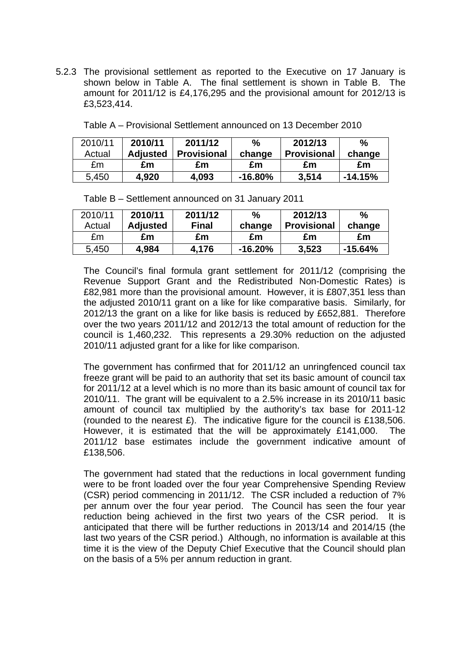5.2.3 The provisional settlement as reported to the Executive on 17 January is shown below in Table A. The final settlement is shown in Table B. The amount for 2011/12 is £4,176,295 and the provisional amount for 2012/13 is £3,523,414.

| 2010/11 | 2010/11         | 2011/12     | %         | 2012/13            | %         |
|---------|-----------------|-------------|-----------|--------------------|-----------|
| Actual  | <b>Adjusted</b> | Provisional | change    | <b>Provisional</b> | change    |
| £m      | £m              | £m          | £m        | £m                 | £m        |
| 5,450   | 4,920           | 4,093       | $-16.80%$ | 3.514              | $-14.15%$ |

Table A – Provisional Settlement announced on 13 December 2010

| 2010/11 | 2010/11         | 2011/12      | %          | 2012/13            | $\%$      |
|---------|-----------------|--------------|------------|--------------------|-----------|
| Actual  | <b>Adjusted</b> | <b>Final</b> | change     | <b>Provisional</b> | change    |
| £m      | £m              | £m           | £m         | £m                 | £m        |
| 5,450   | 4,984           | 4.176        | $-16.20\%$ | 3,523              | $-15.64%$ |

Table B – Settlement announced on 31 January 2011

 The Council's final formula grant settlement for 2011/12 (comprising the Revenue Support Grant and the Redistributed Non-Domestic Rates) is £82,981 more than the provisional amount. However, it is £807,351 less than the adjusted 2010/11 grant on a like for like comparative basis. Similarly, for 2012/13 the grant on a like for like basis is reduced by £652,881. Therefore over the two years 2011/12 and 2012/13 the total amount of reduction for the council is 1,460,232. This represents a 29.30% reduction on the adjusted 2010/11 adjusted grant for a like for like comparison.

 The government has confirmed that for 2011/12 an unringfenced council tax freeze grant will be paid to an authority that set its basic amount of council tax for 2011/12 at a level which is no more than its basic amount of council tax for 2010/11. The grant will be equivalent to a 2.5% increase in its 2010/11 basic amount of council tax multiplied by the authority's tax base for 2011-12 (rounded to the nearest £). The indicative figure for the council is £138,506. However, it is estimated that the will be approximately £141,000. The 2011/12 base estimates include the government indicative amount of £138,506.

 The government had stated that the reductions in local government funding were to be front loaded over the four year Comprehensive Spending Review (CSR) period commencing in 2011/12. The CSR included a reduction of 7% per annum over the four year period. The Council has seen the four year reduction being achieved in the first two years of the CSR period. It is anticipated that there will be further reductions in 2013/14 and 2014/15 (the last two years of the CSR period.) Although, no information is available at this time it is the view of the Deputy Chief Executive that the Council should plan on the basis of a 5% per annum reduction in grant.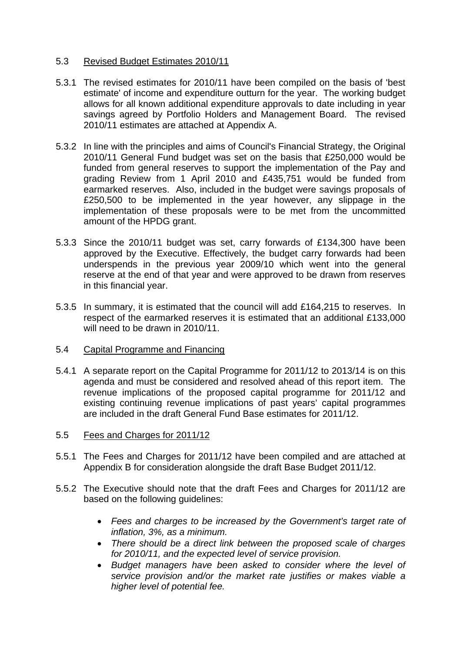## 5.3 Revised Budget Estimates 2010/11

- 5.3.1 The revised estimates for 2010/11 have been compiled on the basis of 'best estimate' of income and expenditure outturn for the year. The working budget allows for all known additional expenditure approvals to date including in year savings agreed by Portfolio Holders and Management Board. The revised 2010/11 estimates are attached at Appendix A.
- 5.3.2 In line with the principles and aims of Council's Financial Strategy, the Original 2010/11 General Fund budget was set on the basis that £250,000 would be funded from general reserves to support the implementation of the Pay and grading Review from 1 April 2010 and £435,751 would be funded from earmarked reserves. Also, included in the budget were savings proposals of £250,500 to be implemented in the year however, any slippage in the implementation of these proposals were to be met from the uncommitted amount of the HPDG grant.
- 5.3.3 Since the 2010/11 budget was set, carry forwards of £134,300 have been approved by the Executive. Effectively, the budget carry forwards had been underspends in the previous year 2009/10 which went into the general reserve at the end of that year and were approved to be drawn from reserves in this financial year.
- 5.3.5 In summary, it is estimated that the council will add £164,215 to reserves. In respect of the earmarked reserves it is estimated that an additional £133,000 will need to be drawn in 2010/11.
- 5.4 Capital Programme and Financing
- 5.4.1 A separate report on the Capital Programme for 2011/12 to 2013/14 is on this agenda and must be considered and resolved ahead of this report item. The revenue implications of the proposed capital programme for 2011/12 and existing continuing revenue implications of past years' capital programmes are included in the draft General Fund Base estimates for 2011/12.
- 5.5 Fees and Charges for 2011/12
- 5.5.1 The Fees and Charges for 2011/12 have been compiled and are attached at Appendix B for consideration alongside the draft Base Budget 2011/12.
- 5.5.2 The Executive should note that the draft Fees and Charges for 2011/12 are based on the following guidelines:
	- *Fees and charges to be increased by the Government's target rate of inflation, 3%, as a minimum.*
	- *There should be a direct link between the proposed scale of charges for 2010/11, and the expected level of service provision.*
	- *Budget managers have been asked to consider where the level of service provision and/or the market rate justifies or makes viable a higher level of potential fee.*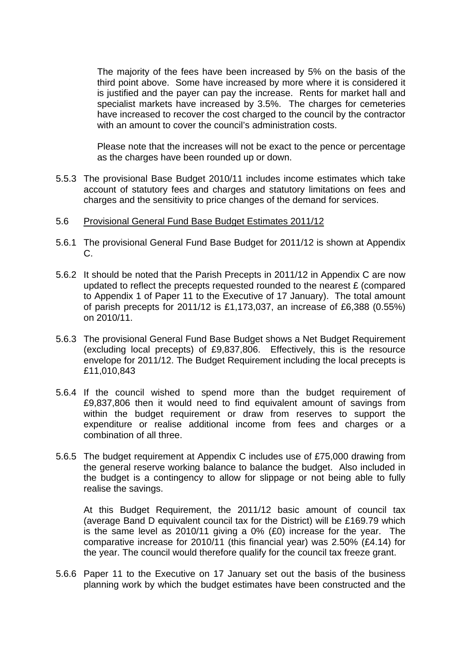The majority of the fees have been increased by 5% on the basis of the third point above. Some have increased by more where it is considered it is justified and the payer can pay the increase. Rents for market hall and specialist markets have increased by 3.5%. The charges for cemeteries have increased to recover the cost charged to the council by the contractor with an amount to cover the council's administration costs.

Please note that the increases will not be exact to the pence or percentage as the charges have been rounded up or down.

5.5.3 The provisional Base Budget 2010/11 includes income estimates which take account of statutory fees and charges and statutory limitations on fees and charges and the sensitivity to price changes of the demand for services.

#### 5.6 Provisional General Fund Base Budget Estimates 2011/12

- 5.6.1 The provisional General Fund Base Budget for 2011/12 is shown at Appendix C.
- 5.6.2 It should be noted that the Parish Precepts in 2011/12 in Appendix C are now updated to reflect the precepts requested rounded to the nearest £ (compared to Appendix 1 of Paper 11 to the Executive of 17 January). The total amount of parish precepts for 2011/12 is £1,173,037, an increase of £6,388 (0.55%) on 2010/11.
- 5.6.3 The provisional General Fund Base Budget shows a Net Budget Requirement (excluding local precepts) of £9,837,806. Effectively, this is the resource envelope for 2011/12. The Budget Requirement including the local precepts is £11,010,843
- 5.6.4 If the council wished to spend more than the budget requirement of £9,837,806 then it would need to find equivalent amount of savings from within the budget requirement or draw from reserves to support the expenditure or realise additional income from fees and charges or a combination of all three.
- 5.6.5 The budget requirement at Appendix C includes use of £75,000 drawing from the general reserve working balance to balance the budget. Also included in the budget is a contingency to allow for slippage or not being able to fully realise the savings.

 At this Budget Requirement, the 2011/12 basic amount of council tax (average Band D equivalent council tax for the District) will be £169.79 which is the same level as 2010/11 giving a 0% (£0) increase for the year. The comparative increase for 2010/11 (this financial year) was 2.50% (£4.14) for the year. The council would therefore qualify for the council tax freeze grant.

5.6.6 Paper 11 to the Executive on 17 January set out the basis of the business planning work by which the budget estimates have been constructed and the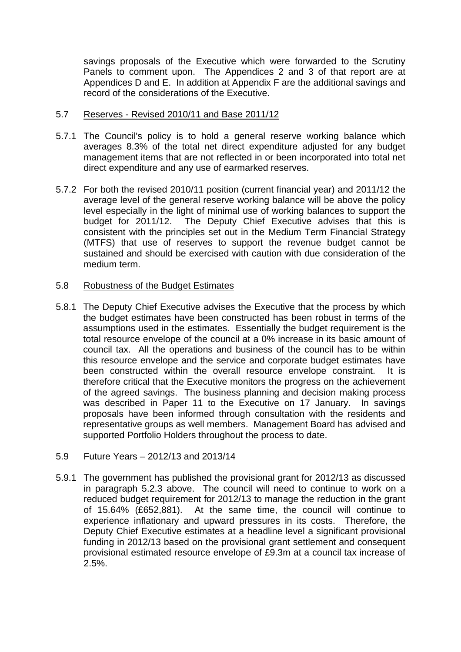savings proposals of the Executive which were forwarded to the Scrutiny Panels to comment upon. The Appendices 2 and 3 of that report are at Appendices D and E. In addition at Appendix F are the additional savings and record of the considerations of the Executive.

## 5.7 Reserves - Revised 2010/11 and Base 2011/12

- 5.7.1 The Council's policy is to hold a general reserve working balance which averages 8.3% of the total net direct expenditure adjusted for any budget management items that are not reflected in or been incorporated into total net direct expenditure and any use of earmarked reserves.
- 5.7.2 For both the revised 2010/11 position (current financial year) and 2011/12 the average level of the general reserve working balance will be above the policy level especially in the light of minimal use of working balances to support the budget for 2011/12. The Deputy Chief Executive advises that this is consistent with the principles set out in the Medium Term Financial Strategy (MTFS) that use of reserves to support the revenue budget cannot be sustained and should be exercised with caution with due consideration of the medium term.

### 5.8 Robustness of the Budget Estimates

5.8.1 The Deputy Chief Executive advises the Executive that the process by which the budget estimates have been constructed has been robust in terms of the assumptions used in the estimates. Essentially the budget requirement is the total resource envelope of the council at a 0% increase in its basic amount of council tax. All the operations and business of the council has to be within this resource envelope and the service and corporate budget estimates have been constructed within the overall resource envelope constraint. It is therefore critical that the Executive monitors the progress on the achievement of the agreed savings. The business planning and decision making process was described in Paper 11 to the Executive on 17 January. In savings proposals have been informed through consultation with the residents and representative groups as well members. Management Board has advised and supported Portfolio Holders throughout the process to date.

### 5.9 Future Years – 2012/13 and 2013/14

5.9.1 The government has published the provisional grant for 2012/13 as discussed in paragraph 5.2.3 above. The council will need to continue to work on a reduced budget requirement for 2012/13 to manage the reduction in the grant of 15.64% (£652,881). At the same time, the council will continue to experience inflationary and upward pressures in its costs. Therefore, the Deputy Chief Executive estimates at a headline level a significant provisional funding in 2012/13 based on the provisional grant settlement and consequent provisional estimated resource envelope of £9.3m at a council tax increase of 2.5%.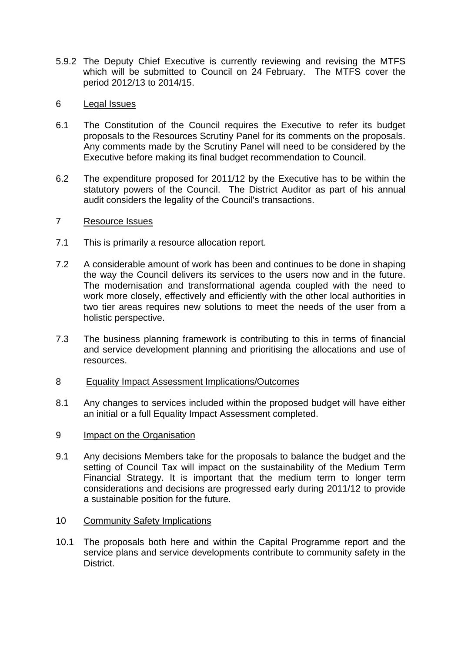5.9.2 The Deputy Chief Executive is currently reviewing and revising the MTFS which will be submitted to Council on 24 February. The MTFS cover the period 2012/13 to 2014/15.

## 6 Legal Issues

- 6.1 The Constitution of the Council requires the Executive to refer its budget proposals to the Resources Scrutiny Panel for its comments on the proposals. Any comments made by the Scrutiny Panel will need to be considered by the Executive before making its final budget recommendation to Council.
- 6.2 The expenditure proposed for 2011/12 by the Executive has to be within the statutory powers of the Council. The District Auditor as part of his annual audit considers the legality of the Council's transactions.

### 7 Resource Issues

- 7.1 This is primarily a resource allocation report.
- 7.2 A considerable amount of work has been and continues to be done in shaping the way the Council delivers its services to the users now and in the future. The modernisation and transformational agenda coupled with the need to work more closely, effectively and efficiently with the other local authorities in two tier areas requires new solutions to meet the needs of the user from a holistic perspective.
- 7.3 The business planning framework is contributing to this in terms of financial and service development planning and prioritising the allocations and use of resources.
- 8 Equality Impact Assessment Implications/Outcomes
- 8.1 Any changes to services included within the proposed budget will have either an initial or a full Equality Impact Assessment completed.
- 9 Impact on the Organisation
- 9.1 Any decisions Members take for the proposals to balance the budget and the setting of Council Tax will impact on the sustainability of the Medium Term Financial Strategy. It is important that the medium term to longer term considerations and decisions are progressed early during 2011/12 to provide a sustainable position for the future.
- 10 Community Safety Implications
- 10.1 The proposals both here and within the Capital Programme report and the service plans and service developments contribute to community safety in the District.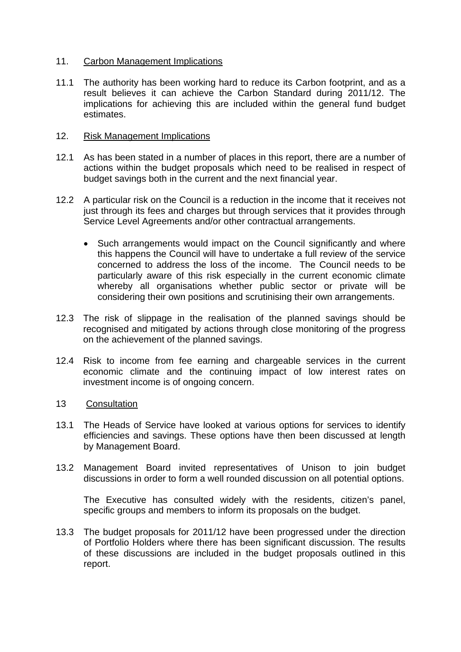#### 11. Carbon Management Implications

11.1 The authority has been working hard to reduce its Carbon footprint, and as a result believes it can achieve the Carbon Standard during 2011/12. The implications for achieving this are included within the general fund budget estimates.

#### 12. Risk Management Implications

- 12.1 As has been stated in a number of places in this report, there are a number of actions within the budget proposals which need to be realised in respect of budget savings both in the current and the next financial year.
- 12.2 A particular risk on the Council is a reduction in the income that it receives not just through its fees and charges but through services that it provides through Service Level Agreements and/or other contractual arrangements.
	- Such arrangements would impact on the Council significantly and where this happens the Council will have to undertake a full review of the service concerned to address the loss of the income. The Council needs to be particularly aware of this risk especially in the current economic climate whereby all organisations whether public sector or private will be considering their own positions and scrutinising their own arrangements.
- 12.3 The risk of slippage in the realisation of the planned savings should be recognised and mitigated by actions through close monitoring of the progress on the achievement of the planned savings.
- 12.4 Risk to income from fee earning and chargeable services in the current economic climate and the continuing impact of low interest rates on investment income is of ongoing concern.

### 13 Consultation

- 13.1 The Heads of Service have looked at various options for services to identify efficiencies and savings. These options have then been discussed at length by Management Board.
- 13.2 Management Board invited representatives of Unison to join budget discussions in order to form a well rounded discussion on all potential options.

 The Executive has consulted widely with the residents, citizen's panel, specific groups and members to inform its proposals on the budget.

13.3 The budget proposals for 2011/12 have been progressed under the direction of Portfolio Holders where there has been significant discussion. The results of these discussions are included in the budget proposals outlined in this report.